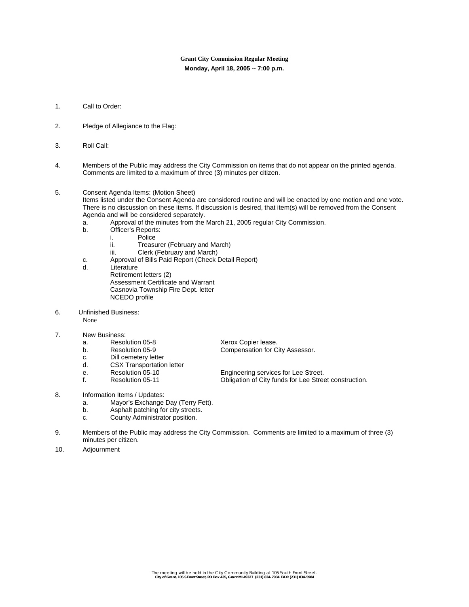## **Grant City Commission Regular Meeting Monday, April 18, 2005 -- 7:00 p.m.**

- 1. Call to Order:
- 2. Pledge of Allegiance to the Flag:
- 3. Roll Call:
- 4. Members of the Public may address the City Commission on items that do not appear on the printed agenda. Comments are limited to a maximum of three (3) minutes per citizen.

## 5. Consent Agenda Items: (Motion Sheet)

Items listed under the Consent Agenda are considered routine and will be enacted by one motion and one vote. There is no discussion on these items. If discussion is desired, that item(s) will be removed from the Consent Agenda and will be considered separately.

- a. Approval of the minutes from the March 21, 2005 regular City Commission.
- b. Officer's Reports:<br>i. Police
	- i. Police<br>ii. Treasu
		- Treasurer (February and March)
	- iii. Clerk (February and March)
- c. Approval of Bills Paid Report (Check Detail Report)
- Literature Retirement letters (2) Assessment Certificate and Warrant Casnovia Township Fire Dept. letter NCEDO profile
- 6. Unfinished Business:

None

- 7. New Business:<br>a. Resolution 05-8
	- a. Resolution 05-8 Xerox Copier lease.
	-
	- c. Dill cemetery letter
	- d. CSX Transportation letter<br>e. Resolution 05-10
	-
	-

b. Resolution 05-9 Compensation for City Assessor.

e. Resolution 05-10 **Engineering services for Lee Street.**<br> **Resolution 05-11** Colligation of City funds for Lee Street. f. Resolution 05-11 Obligation of City funds for Lee Street construction.

- 8. Information Items / Updates:
	- a. Mayor's Exchange Day (Terry Fett).
	- b. Asphalt patching for city streets.
	- c. County Administrator position.
- 9. Members of the Public may address the City Commission. Comments are limited to a maximum of three (3) minutes per citizen.
- 10. Adjournment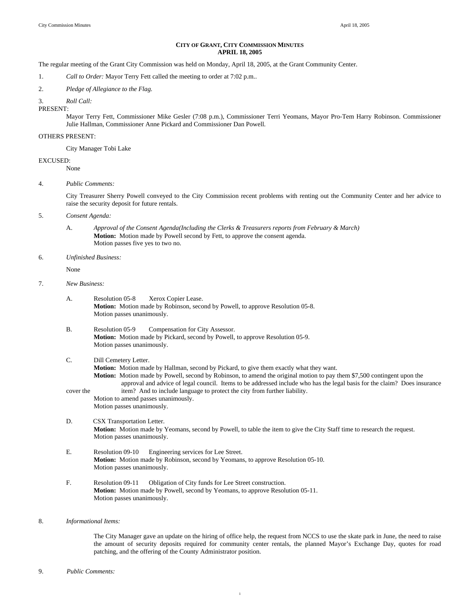## **CITY OF GRANT, CITY COMMISSION MINUTES APRIL 18, 2005**

The regular meeting of the Grant City Commission was held on Monday, April 18, 2005, at the Grant Community Center.

1. *Call to Order:* Mayor Terry Fett called the meeting to order at 7:02 p.m..

2. *Pledge of Allegiance to the Flag.*

3. *Roll Call:* 

PRESENT:

Mayor Terry Fett, Commissioner Mike Gesler (7:08 p.m.), Commissioner Terri Yeomans, Mayor Pro-Tem Harry Robinson. Commissioner Julie Hallman, Commissioner Anne Pickard and Commissioner Dan Powell.

#### OTHERS PRESENT:

City Manager Tobi Lake

## EXCUSED:

None

4. *Public Comments:* 

City Treasurer Sherry Powell conveyed to the City Commission recent problems with renting out the Community Center and her advice to raise the security deposit for future rentals.

5. *Consent Agenda:* 

A. *Approval of the Consent Agenda(Including the Clerks & Treasurers reports from February & March)*  **Motion:** Motion made by Powell second by Fett, to approve the consent agenda. Motion passes five yes to two no.

6. *Unfinished Business:*

None

- 7. *New Business:* 
	- A. Resolution 05-8 Xerox Copier Lease. **Motion:** Motion made by Robinson, second by Powell, to approve Resolution 05-8. Motion passes unanimously.
	- B. Resolution 05-9 Compensation for City Assessor. **Motion:** Motion made by Pickard, second by Powell, to approve Resolution 05-9. Motion passes unanimously.
	- C. Dill Cemetery Letter. **Motion:** Motion made by Hallman, second by Pickard, to give them exactly what they want.  **Motion:** Motion made by Powell, second by Robinson, to amend the original motion to pay them \$7,500 contingent upon the approval and advice of legal council. Items to be addressed include who has the legal basis for the claim? Does insurance cover the item? And to include language to protect the city from further liability. Motion to amend passes unanimously. Motion passes unanimously.
	- D. CSX Transportation Letter. **Motion:** Motion made by Yeomans, second by Powell, to table the item to give the City Staff time to research the request. Motion passes unanimously.

1

- E. Resolution 09-10 Engineering services for Lee Street.  **Motion:** Motion made by Robinson, second by Yeomans, to approve Resolution 05-10. Motion passes unanimously.
- F. Resolution 09-11 Obligation of City funds for Lee Street construction. **Motion:** Motion made by Powell, second by Yeomans, to approve Resolution 05-11. Motion passes unanimously.
- 8. *Informational Items:*

 The City Manager gave an update on the hiring of office help, the request from NCCS to use the skate park in June, the need to raise the amount of security deposits required for community center rentals, the planned Mayor's Exchange Day, quotes for road patching, and the offering of the County Administrator position.

9. *Public Comments:*